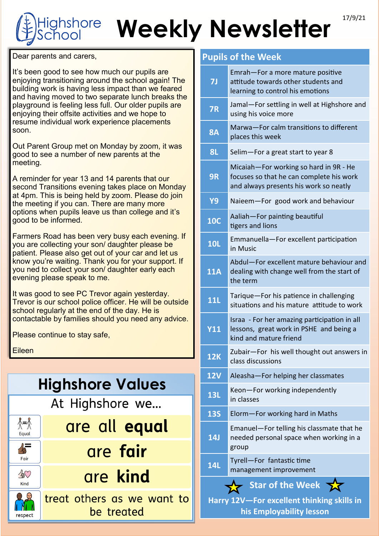## **Weekly Newsletter** 17/9/21 ghshore

Dear parents and carers,

It's been good to see how much our pupils are enjoying transitioning around the school again! The building work is having less impact than we feared and having moved to two separate lunch breaks the playground is feeling less full. Our older pupils are enjoying their offsite activities and we hope to resume individual work experience placements soon.

Out Parent Group met on Monday by zoom, it was good to see a number of new parents at the meeting.

A reminder for year 13 and 14 parents that our second Transitions evening takes place on Monday at 4pm. This is being held by zoom. Please do join the meeting if you can. There are many more options when pupils leave us than college and it's good to be informed.

Farmers Road has been very busy each evening. If you are collecting your son/ daughter please be patient. Please also get out of your car and let us know you're waiting. Thank you for your support. If you ned to collect your son/ daughter early each evening please speak to me.

It was good to see PC Trevor again yesterday. Trevor is our school police officer. He will be outside school regularly at the end of the day. He is contactable by families should you need any advice.

Please continue to stay safe,

Eileen

| <b>Highshore Values</b>      |                                          |  |
|------------------------------|------------------------------------------|--|
|                              | At Highshore we                          |  |
| $\lambda = \lambda$<br>Equal | are all equal                            |  |
| Fair                         | are fair                                 |  |
| 40<br>Kind                   | are kind                                 |  |
| respect                      | treat others as we want to<br>be treated |  |
|                              |                                          |  |

## **Pupils of the Week**

| <b>7J</b>                                                                                  | Emrah-For a more mature positive<br>attitude towards other students and<br>learning to control his emotions                  |  |
|--------------------------------------------------------------------------------------------|------------------------------------------------------------------------------------------------------------------------------|--|
| <b>7R</b>                                                                                  | Jamal-For settling in well at Highshore and<br>using his voice more                                                          |  |
| 8A                                                                                         | Marwa-For calm transitions to different<br>places this week                                                                  |  |
| <b>8L</b>                                                                                  | Selim-For a great start to year 8                                                                                            |  |
| 9R                                                                                         | Micaiah-For working so hard in 9R - He<br>focuses so that he can complete his work<br>and always presents his work so neatly |  |
| <b>Y9</b>                                                                                  | Naieem-For good work and behaviour                                                                                           |  |
| <b>10C</b>                                                                                 | Aaliah-For painting beautiful<br>tigers and lions                                                                            |  |
| <b>10L</b>                                                                                 | Emmanuella-For excellent participation<br>in Music                                                                           |  |
| <b>11A</b>                                                                                 | Abdul-For excellent mature behaviour and<br>dealing with change well from the start of<br>the term                           |  |
| <b>11L</b>                                                                                 | Tarique-For his patience in challenging<br>situations and his mature attitude to work                                        |  |
| <b>Y11</b>                                                                                 | Israa - For her amazing participation in all<br>lessons, great work in PSHE and being a<br>kind and mature friend            |  |
| <b>12K</b>                                                                                 | Zubair-For his well thought out answers in<br>class discussions                                                              |  |
| $\overline{12V}$                                                                           | Aleasha-For helping her classmates                                                                                           |  |
| <b>13L</b>                                                                                 | Keon-For working independently<br>in classes                                                                                 |  |
| <b>13S</b>                                                                                 | Elorm-For working hard in Maths                                                                                              |  |
| 14J                                                                                        | Emanuel-For telling his classmate that he<br>needed personal space when working in a<br>group                                |  |
| <b>14L</b>                                                                                 | Tyrell-For fantastic time<br>management improvement                                                                          |  |
| Star of the Week<br>Harry 12V-For excellent thinking skills in<br>his Employability lesson |                                                                                                                              |  |